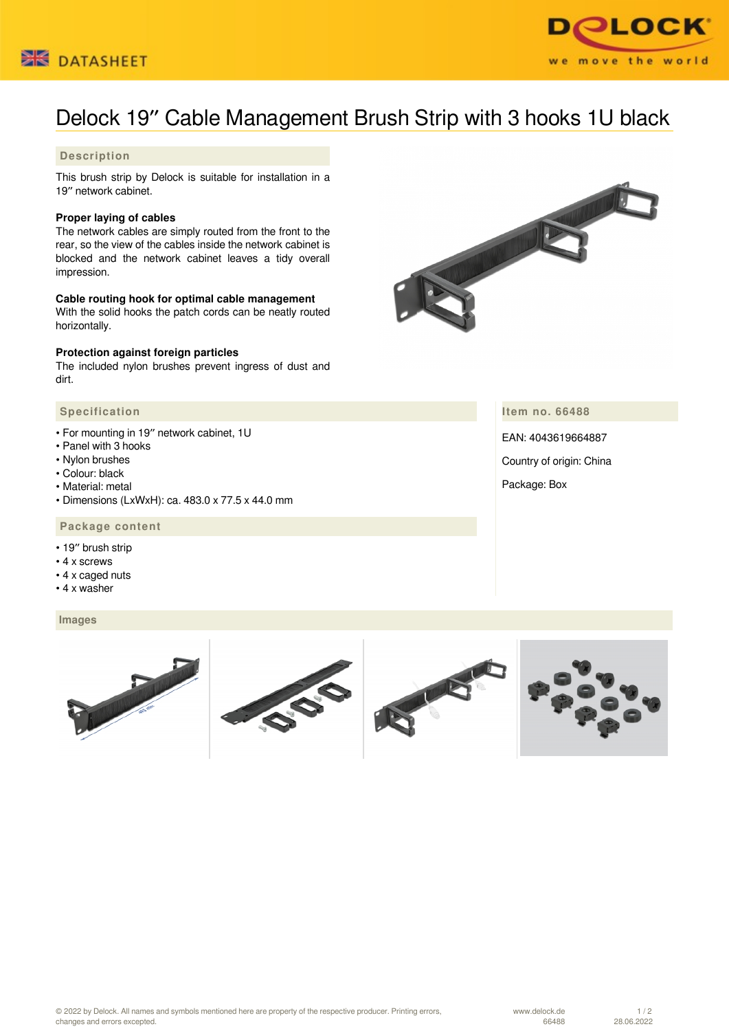



# Delock 19″ Cable Management Brush Strip with 3 hooks 1U black

# **Description**

This brush strip by Delock is suitable for installation in a 19″ network cabinet.

#### **Proper laying of cables**

The network cables are simply routed from the front to the rear, so the view of the cables inside the network cabinet is blocked and the network cabinet leaves a tidy overall impression.

### **Cable routing hook for optimal cable management**

With the solid hooks the patch cords can be neatly routed horizontally.

#### **Protection against foreign particles**

The included nylon brushes prevent ingress of dust and dirt.

## **Specification**

- For mounting in 19″ network cabinet, 1U
- Panel with 3 hooks
- Nylon brushes
- Colour: black
- Material: metal
- Dimensions (LxWxH): ca. 483.0 x 77.5 x 44.0 mm

## **Package content**

- 19″ brush strip
- 4 x screws
- 4 x caged nuts
- 4 x washer

#### **Images**





**Item no. 66488**

EAN: 4043619664887 Country of origin: China Package: Box